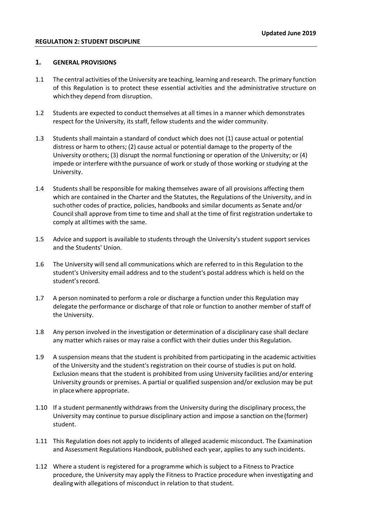#### **1. GENERAL PROVISIONS**

- 1.1 The central activities of the University are teaching, learning and research. The primary function of this Regulation is to protect these essential activities and the administrative structure on whichthey depend from disruption.
- 1.2 Students are expected to conduct themselves at all times in a manner which demonstrates respect for the University, its staff, fellow students and the wider community.
- 1.3 Students shall maintain a standard of conduct which does not (1) cause actual or potential distress or harm to others; (2) cause actual or potential damage to the property of the University orothers; (3) disrupt the normal functioning or operation of the University; or (4) impede or interfere withthe pursuance of work or study of those working or studying at the University.
- 1.4 Students shall be responsible for making themselves aware of all provisions affecting them which are contained in the Charter and the Statutes, the Regulations of the University, and in suchother codes of practice, policies, handbooks and similar documents as Senate and/or Council shall approve from time to time and shall at the time of first registration undertake to comply at alltimes with the same.
- 1.5 Advice and support is available to students through the University's student support services and the Students' Union.
- 1.6 The University will send all communications which are referred to in this Regulation to the student's University email address and to the student's postal address which is held on the student's record.
- 1.7 A person nominated to perform a role or discharge a function under this Regulation may delegate the performance or discharge of that role or function to another member of staff of the University.
- 1.8 Any person involved in the investigation or determination of a disciplinary case shall declare any matter which raises or may raise a conflict with their duties under this Regulation.
- 1.9 A suspension means that the student is prohibited from participating in the academic activities of the University and the student's registration on their course of studies is put on hold. Exclusion means that the student is prohibited from using University facilities and/or entering University grounds or premises. A partial or qualified suspension and/or exclusion may be put in placewhere appropriate.
- 1.10 If a student permanently withdraws from the University during the disciplinary process, the University may continue to pursue disciplinary action and impose a sanction on the(former) student.
- 1.11 This Regulation does not apply to incidents of alleged academic misconduct. The Examination and Assessment Regulations Handbook, published each year, applies to any such incidents.
- 1.12 Where a student is registered for a programme which is subject to a Fitness to Practice procedure, the University may apply the Fitness to Practice procedure when investigating and dealingwith allegations of misconduct in relation to that student.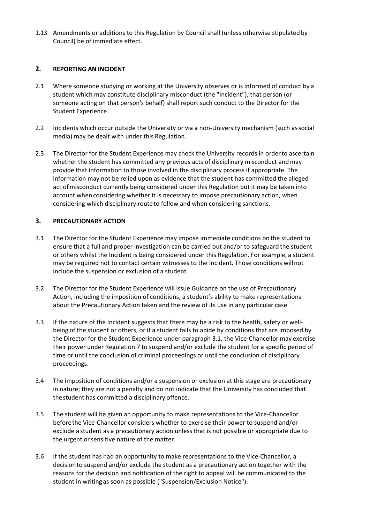1.13 Amendments or additions to this Regulation by Council shall (unless otherwise stipulated by Council) be of immediate effect.

# **2. REPORTING AN INCIDENT**

- 2.1 Where someone studying or working at the University observes or is informed of conduct by a student which may constitute disciplinary misconduct (the "Incident"), that person (or someone acting on that person's behalf) shall report such conduct to the Director for the Student Experience.
- 2.2 Incidents which occur outside the University or via a non-University mechanism (such associal media) may be dealt with under this Regulation.
- 2.3 The Director for the Student Experience may check the University records in orderto ascertain whether the student has committed any previous acts of disciplinary misconduct andmay provide that information to those involved in the disciplinary process if appropriate. The information may not be relied upon as evidence that the student has committed the alleged act of misconduct currently being considered under this Regulation but it may be taken into account when considering whether it is necessary to impose precautionary action, when considering which disciplinary routeto follow and when considering sanctions.

# **3. PRECAUTIONARY ACTION**

- 3.1 The Director for the Student Experience may impose immediate conditions on the student to ensure that a full and proper investigation can be carried out and/or to safeguard the student or others whilst the Incident is being considered under this Regulation. For example, a student may be required not to contact certain witnesses to the Incident. Those conditions willnot include the suspension or exclusion of a student.
- 3.2 The Director for the Student Experience will issue Guidance on the use of Precautionary Action, including the imposition of conditions, a student's ability to make representations about the Precautionary Action taken and the review of its use in any particular case.
- 3.3 If the nature of the Incident suggests that there may be a risk to the health, safety or wellbeing of the student or others, or if a student fails to abide by conditions that are imposed by the Director for the Student Experience under paragraph 3.1, the Vice-Chancellor may exercise their power under Regulation 7 to suspend and/or exclude the student for a specific period of time or until the conclusion of criminal proceedings or until the conclusion of disciplinary proceedings.
- 3.4 The imposition of conditions and/or a suspension or exclusion at this stage are precautionary in nature; they are not a penalty and do not indicate that the University has concluded that thestudent has committed a disciplinary offence.
- 3.5 The student will be given an opportunity to make representations to the Vice-Chancellor beforethe Vice-Chancellor considers whether to exercise their power to suspend and/or exclude a student as a precautionary action unless that is not possible or appropriate due to the urgent or sensitive nature of the matter.
- 3.6 If the student has had an opportunity to make representations to the Vice-Chancellor, a decisionto suspend and/or exclude the student as a precautionary action together with the reasons forthe decision and notification of the right to appeal will be communicated to the student in writing as soon as possible ("Suspension/Exclusion Notice").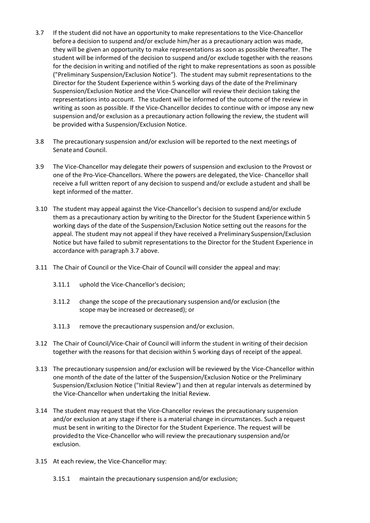- 3.7 If the student did not have an opportunity to make representations to the Vice-Chancellor before a decision to suspend and/or exclude him/her as a precautionary action was made, they will be given an opportunity to make representations as soon as possible thereafter. The student will be informed of the decision to suspend and/or exclude together with the reasons for the decision in writing and notified of the right to make representations as soon as possible ("Preliminary Suspension/Exclusion Notice"). The student may submit representations to the Director for the Student Experience within 5 working days of the date of the Preliminary Suspension/Exclusion Notice and the Vice-Chancellor will review their decision taking the representations into account. The student will be informed of the outcome of the review in writing as soon as possible. If the Vice-Chancellor decides to continue with or impose any new suspension and/or exclusion as a precautionary action following the review, the student will be provided witha Suspension/Exclusion Notice.
- 3.8 The precautionary suspension and/or exclusion will be reported to the next meetings of Senate and Council.
- 3.9 The Vice-Chancellor may delegate their powers of suspension and exclusion to the Provost or one of the Pro-Vice-Chancellors. Where the powers are delegated, the Vice- Chancellor shall receive a full written report of any decision to suspend and/or exclude a student and shall be kept informed of the matter.
- 3.10 The student may appeal against the Vice-Chancellor's decision to suspend and/or exclude them as a precautionary action by writing to the Director for the Student Experience within 5 working days of the date of the Suspension/Exclusion Notice setting out the reasons for the appeal. The student may not appeal if they have received a Preliminary Suspension/Exclusion Notice but have failed to submit representations to the Director for the Student Experience in accordance with paragraph 3.7 above.
- 3.11 The Chair of Council or the Vice-Chair of Council will consider the appeal and may:
	- 3.11.1 uphold the Vice-Chancellor's decision;
	- 3.11.2 change the scope of the precautionary suspension and/or exclusion (the scope may be increased or decreased); or
	- 3.11.3 remove the precautionary suspension and/or exclusion.
- 3.12 The Chair of Council/Vice-Chair of Council will inform the student in writing of their decision together with the reasons for that decision within 5 working days of receipt of the appeal.
- 3.13 The precautionary suspension and/or exclusion will be reviewed by the Vice-Chancellor within one month of the date of the latter of the Suspension/Exclusion Notice or the Preliminary Suspension/Exclusion Notice ("Initial Review") and then at regular intervals as determined by the Vice-Chancellor when undertaking the Initial Review.
- 3.14 The student may request that the Vice-Chancellor reviews the precautionary suspension and/or exclusion at any stage if there is a material change in circumstances. Such a request must besent in writing to the Director for the Student Experience. The request will be providedto the Vice-Chancellor who will review the precautionary suspension and/or exclusion.
- 3.15 At each review, the Vice-Chancellor may:
	- 3.15.1 maintain the precautionary suspension and/or exclusion;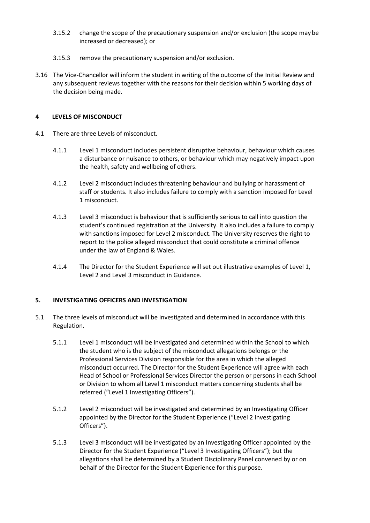- 3.15.2 change the scope of the precautionary suspension and/or exclusion (the scope may be increased or decreased); or
- 3.15.3 remove the precautionary suspension and/or exclusion.
- 3.16 The Vice-Chancellor will inform the student in writing of the outcome of the Initial Review and any subsequent reviews together with the reasons for their decision within 5 working days of the decision being made.

### **4 LEVELS OF MISCONDUCT**

- 4.1 There are three Levels of misconduct.
	- 4.1.1 Level 1 misconduct includes persistent disruptive behaviour, behaviour which causes a disturbance or nuisance to others, or behaviour which may negatively impact upon the health, safety and wellbeing of others.
	- 4.1.2 Level 2 misconduct includes threatening behaviour and bullying or harassment of staff or students. It also includes failure to comply with a sanction imposed for Level 1 misconduct.
	- 4.1.3 Level 3 misconduct is behaviour that is sufficiently serious to call into question the student's continued registration at the University. It also includes a failure to comply with sanctions imposed for Level 2 misconduct. The University reserves the right to report to the police alleged misconduct that could constitute a criminal offence under the law of England & Wales.
	- 4.1.4 The Director for the Student Experience will set out illustrative examples of Level 1, Level 2 and Level 3 misconduct in Guidance.

# **5. INVESTIGATING OFFICERS AND INVESTIGATION**

- 5.1 The three levels of misconduct will be investigated and determined in accordance with this Regulation.
	- 5.1.1 Level 1 misconduct will be investigated and determined within the School to which the student who is the subject of the misconduct allegations belongs or the Professional Services Division responsible for the area in which the alleged misconduct occurred. The Director for the Student Experience will agree with each Head of School or Professional Services Director the person or persons in each School or Division to whom all Level 1 misconduct matters concerning students shall be referred ("Level 1 Investigating Officers").
	- 5.1.2 Level 2 misconduct will be investigated and determined by an Investigating Officer appointed by the Director for the Student Experience ("Level 2 Investigating Officers").
	- 5.1.3 Level 3 misconduct will be investigated by an Investigating Officer appointed by the Director for the Student Experience ("Level 3 Investigating Officers"); but the allegations shall be determined by a Student Disciplinary Panel convened by or on behalf of the Director for the Student Experience for this purpose.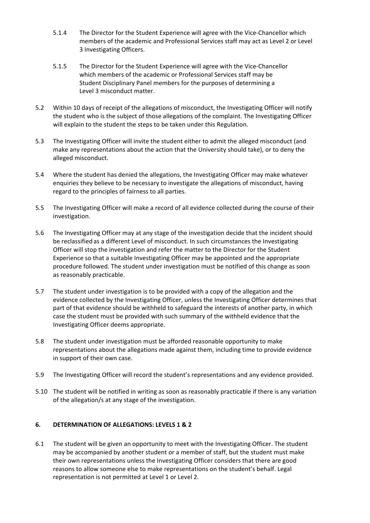- 5.1.4 The Director for the Student Experience will agree with the Vice-Chancellor which members of the academic and Professional Services staff may act as Level 2 or Level 3 Investigating Officers.
- 5.1.5 The Director for the Student Experience will agree with the Vice-Chancellor which members of the academic or Professional Services staff may be Student Disciplinary Panel members for the purposes of determining a Level 3 misconduct matter.
- 5.2 Within 10 days of receipt of the allegations of misconduct, the Investigating Officer will notify the student who is the subject of those allegations of the complaint. The Investigating Officer will explain to the student the steps to be taken under this Regulation.
- 5.3 The Investigating Officer will invite the student either to admit the alleged misconduct (and make any representations about the action that the University should take), or to deny the alleged misconduct.
- 5.4 Where the student has denied the allegations, the Investigating Officer may make whatever enquiries they believe to be necessary to investigate the allegations of misconduct, having regard to the principles of fairness to all parties.
- 5.5 The Investigating Officer will make a record of all evidence collected during the course of their investigation.
- 5.6 The Investigating Officer may at any stage of the investigation decide that the incident should be reclassified as a different Level of misconduct. In such circumstances the Investigating Officer will stop the investigation and refer the matter to the Director for the Student Experience so that a suitable Investigating Officer may be appointed and the appropriate procedure followed. The student under investigation must be notified of this change as soon as reasonably practicable.
- 5.7 The student under investigation is to be provided with a copy of the allegation and the evidence collected by the Investigating Officer, unless the Investigating Officer determines that part of that evidence should be withheld to safeguard the interests of another party, in which case the student must be provided with such summary of the withheld evidence that the Investigating Officer deems appropriate.
- 5.8 The student under investigation must be afforded reasonable opportunity to make representations about the allegations made against them, including time to provide evidence in support of their own case.
- 5.9 The Investigating Officer will record the student's representations and any evidence provided.
- 5.10 The student will be notified in writing as soon as reasonably practicable if there is any variation of the allegation/s at any stage of the investigation.

# **6. DETERMINATION OF ALLEGATIONS: LEVELS 1 & 2**

6.1 The student will be given an opportunity to meet with the Investigating Officer. The student may be accompanied by another student or a member of staff, but the student must make their own representations unless the Investigating Officer considers that there are good reasons to allow someone else to make representations on the student's behalf. Legal representation is not permitted at Level 1 or Level 2.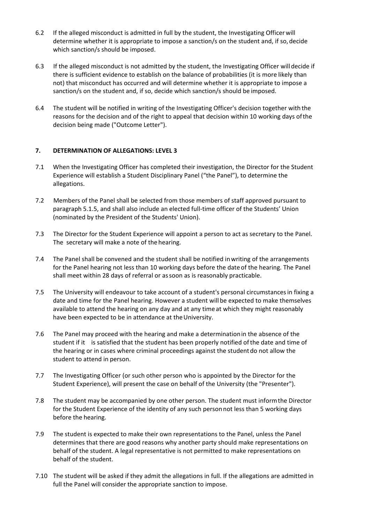- 6.2 If the alleged misconduct is admitted in full by the student, the Investigating Officer will determine whether it is appropriate to impose a sanction/s on the student and, if so, decide which sanction/s should be imposed.
- 6.3 If the alleged misconduct is not admitted by the student, the Investigating Officer willdecide if there is sufficient evidence to establish on the balance of probabilities (it is more likely than not) that misconduct has occurred and will determine whether it is appropriate to impose a sanction/s on the student and, if so, decide which sanction/s should be imposed.
- 6.4 The student will be notified in writing of the Investigating Officer's decision together with the reasons for the decision and of the right to appeal that decision within 10 working days ofthe decision being made ("Outcome Letter").

# **7. DETERMINATION OF ALLEGATIONS: LEVEL 3**

- 7.1 When the Investigating Officer has completed their investigation, the Director for the Student Experience will establish a Student Disciplinary Panel ("the Panel"), to determine the allegations.
- 7.2 Members of the Panel shall be selected from those members of staff approved pursuant to paragraph 5.1.5, and shall also include an elected full-time officer of the Students' Union (nominated by the President of the Students' Union).
- 7.3 The Director for the Student Experience will appoint a person to act as secretary to the Panel. The secretary will make a note of the hearing.
- 7.4 The Panel shall be convened and the student shall be notified inwriting of the arrangements for the Panel hearing not less than 10 working days before the dateof the hearing. The Panel shall meet within 28 days of referral or assoon as is reasonably practicable.
- 7.5 The University will endeavour to take account of a student's personal circumstancesin fixing a date and time for the Panel hearing. However a student will be expected to make themselves available to attend the hearing on any day and at any time at which they might reasonably have been expected to be in attendance at the University.
- 7.6 The Panel may proceed with the hearing and make a determinationin the absence of the student if it is satisfied that the student has been properly notified of the date and time of the hearing or in cases where criminal proceedings against the student do not allow the student to attend in person.
- 7.7 The Investigating Officer (or such other person who is appointed by the Director for the Student Experience), will present the case on behalf of the University (the "Presenter").
- 7.8 The student may be accompanied by one other person. The student must informthe Director for the Student Experience of the identity of any such personnot less than 5 working days before the hearing.
- 7.9 The student is expected to make their own representations to the Panel, unless the Panel determines that there are good reasons why another party should make representations on behalf of the student. A legal representative is not permitted to make representations on behalf of the student.
- 7.10 The student will be asked if they admit the allegations in full. If the allegations are admitted in full the Panel will consider the appropriate sanction to impose.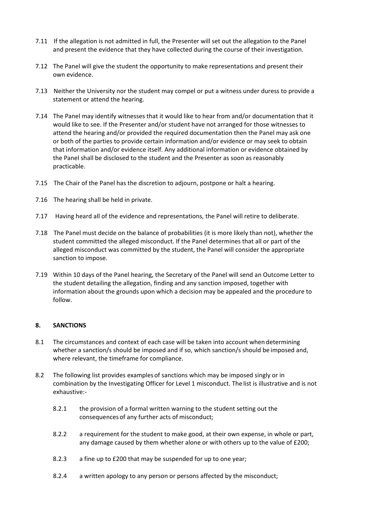- 7.11 If the allegation is not admitted in full, the Presenter will set out the allegation to the Panel and present the evidence that they have collected during the course of their investigation.
- 7.12 The Panel will give the student the opportunity to make representations and present their own evidence.
- 7.13 Neither the University nor the student may compel or put a witness under duress to provide a statement or attend the hearing.
- 7.14 The Panel may identify witnesses that it would like to hear from and/or documentation that it would like to see. If the Presenter and/or student have not arranged for those witnesses to attend the hearing and/or provided the required documentation then the Panel may ask one or both of the parties to provide certain information and/or evidence or may seek to obtain that information and/or evidence itself. Any additional information or evidence obtained by the Panel shall be disclosed to the student and the Presenter as soon as reasonably practicable.
- 7.15 The Chair of the Panel has the discretion to adjourn, postpone or halt a hearing.
- 7.16 The hearing shall be held in private.
- 7.17 Having heard all of the evidence and representations, the Panel will retire to deliberate.
- 7.18 The Panel must decide on the balance of probabilities (it is more likely than not), whether the student committed the alleged misconduct. If the Panel determines that all or part of the alleged misconduct was committed by the student, the Panel will consider the appropriate sanction to impose.
- 7.19 Within 10 days of the Panel hearing, the Secretary of the Panel will send an Outcome Letter to the student detailing the allegation, finding and any sanction imposed, together with information about the grounds upon which a decision may be appealed and the procedure to follow.

### **8. SANCTIONS**

- 8.1 The circumstances and context of each case will be taken into account when determining whether a sanction/s should be imposed and if so, which sanction/s should be imposed and, where relevant, the timeframe for compliance.
- 8.2 The following list provides examplesof sanctions which may be imposed singly or in combination by the Investigating Officer for Level 1 misconduct. The list is illustrative and is not exhaustive:-
	- 8.2.1 the provision of a formal written warning to the student setting out the consequences of any further acts of misconduct;
	- 8.2.2 a requirement for the student to make good, at their own expense, in whole or part, any damage caused by them whether alone or with others up to the value of £200;
	- 8.2.3 a fine up to £200 that may be suspended for up to one year;
	- 8.2.4 a written apology to any person or persons affected by the misconduct;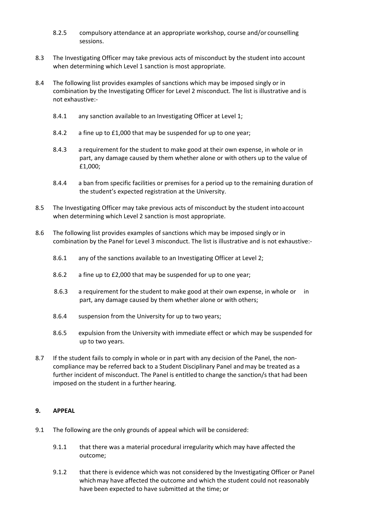- 8.2.5 compulsory attendance at an appropriate workshop, course and/or counselling sessions.
- 8.3 The Investigating Officer may take previous acts of misconduct by the student into account when determining which Level 1 sanction is most appropriate.
- 8.4 The following list provides examples of sanctions which may be imposed singly or in combination by the Investigating Officer for Level 2 misconduct. The list is illustrative and is not exhaustive:-
	- 8.4.1 any sanction available to an Investigating Officer at Level 1;
	- 8.4.2 a fine up to £1,000 that may be suspended for up to one year;
	- 8.4.3 a requirement for the student to make good at their own expense, in whole or in part, any damage caused by them whether alone or with others up to the value of £1,000;
	- 8.4.4 a ban from specific facilities or premises for a period up to the remaining duration of the student's expected registration at the University.
- 8.5 The Investigating Officer may take previous acts of misconduct by the student intoaccount when determining which Level 2 sanction is most appropriate.
- 8.6 The following list provides examples of sanctions which may be imposed singly or in combination by the Panel for Level 3 misconduct. The list is illustrative and is not exhaustive:-
	- 8.6.1 any of the sanctions available to an Investigating Officer at Level 2;
	- 8.6.2 a fine up to £2,000 that may be suspended for up to one year;
	- 8.6.3 a requirement for the student to make good at their own expense, in whole or in part, any damage caused by them whether alone or with others;
	- 8.6.4 suspension from the University for up to two years;
	- 8.6.5 expulsion from the University with immediate effect or which may be suspended for up to two years.
- 8.7 If the student fails to comply in whole or in part with any decision of the Panel, the noncompliance may be referred back to a Student Disciplinary Panel and may be treated as a further incident of misconduct. The Panel is entitled to change the sanction/s that had been imposed on the student in a further hearing.

#### **9. APPEAL**

- 9.1 The following are the only grounds of appeal which will be considered:
	- 9.1.1 that there was a material procedural irregularity which may have affected the outcome;
	- 9.1.2 that there is evidence which was not considered by the Investigating Officer or Panel whichmay have affected the outcome and which the student could not reasonably have been expected to have submitted at the time; or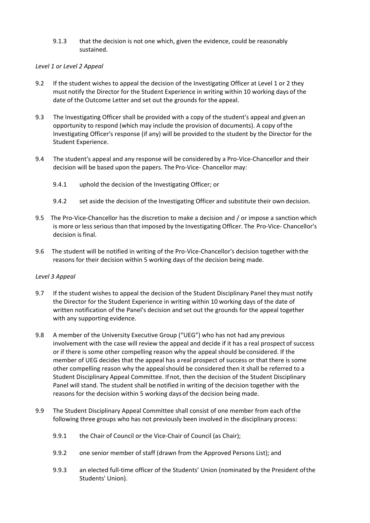9.1.3 that the decision is not one which, given the evidence, could be reasonably sustained.

### *Level 1 or Level 2 Appeal*

- 9.2 If the student wishes to appeal the decision of the Investigating Officer at Level 1 or 2 they must notify the Director for the Student Experience in writing within 10 working days of the date of the Outcome Letter and set out the grounds for the appeal.
- 9.3 The Investigating Officer shall be provided with a copy of the student's appeal and givenan opportunity to respond (which may include the provision of documents). A copy ofthe Investigating Officer's response (if any) will be provided to the student by the Director for the Student Experience.
- 9.4 The student's appeal and any response will be considered by a Pro-Vice-Chancellor and their decision will be based upon the papers. The Pro-Vice- Chancellor may:
	- 9.4.1 uphold the decision of the Investigating Officer; or
	- 9.4.2 set aside the decision of the Investigating Officer and substitute their own decision.
- 9.5 The Pro-Vice-Chancellor has the discretion to make a decision and / or impose a sanction which is more or less serious than that imposed by the Investigating Officer. The Pro-Vice- Chancellor's decision is final.
- 9.6 The student will be notified in writing of the Pro-Vice-Chancellor's decision together with the reasons for their decision within 5 working days of the decision being made.

# *Level 3 Appeal*

- 9.7 If the student wishes to appeal the decision of the Student Disciplinary Panel they must notify the Director for the Student Experience in writing within 10 working days of the date of written notification of the Panel's decision and set out the grounds for the appeal together with any supporting evidence.
- 9.8 A member of the University Executive Group ("UEG") who has not had any previous involvement with the case will review the appeal and decide if it has a real prospect of success or if there is some other compelling reason why the appeal should be considered. If the member of UEG decides that the appeal has areal prospect of success or that there is some other compelling reason why the appealshould be considered then it shall be referred to a Student Disciplinary Appeal Committee. Ifnot, then the decision of the Student Disciplinary Panel will stand. The student shall be notified in writing of the decision together with the reasons for the decision within 5 working daysof the decision being made.
- 9.9 The Student Disciplinary Appeal Committee shall consist of one member from each ofthe following three groups who has not previously been involved in the disciplinary process:
	- 9.9.1 the Chair of Council or the Vice-Chair of Council (as Chair);
	- 9.9.2 one senior member of staff (drawn from the Approved Persons List); and
	- 9.9.3 an elected full-time officer of the Students' Union (nominated by the President ofthe Students' Union).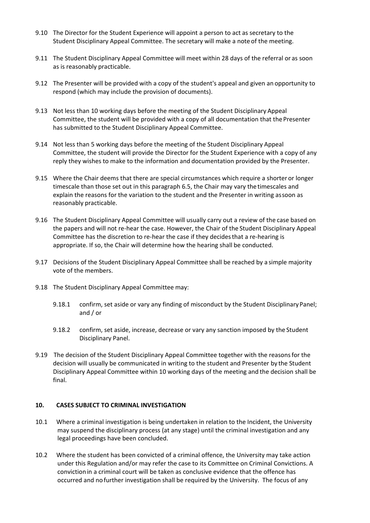- 9.10 The Director for the Student Experience will appoint a person to act as secretary to the Student Disciplinary Appeal Committee. The secretary will make a note of the meeting.
- 9.11 The Student Disciplinary Appeal Committee will meet within 28 days of the referral or as soon as is reasonably practicable.
- 9.12 The Presenter will be provided with a copy of the student's appeal and given an opportunity to respond (which may include the provision of documents).
- 9.13 Not less than 10 working days before the meeting of the Student Disciplinary Appeal Committee, the student will be provided with a copy of all documentation that the Presenter has submitted to the Student Disciplinary Appeal Committee.
- 9.14 Not less than 5 working days before the meeting of the Student Disciplinary Appeal Committee, the student will provide the Director for the Student Experience with a copy of any reply they wishes to make to the information and documentation provided by the Presenter.
- 9.15 Where the Chair deems that there are special circumstances which require a shorter or longer timescale than those set out in this paragraph 6.5, the Chair may vary thetimescales and explain the reasons for the variation to the student and the Presenter in writing assoon as reasonably practicable.
- 9.16 The Student Disciplinary Appeal Committee will usually carry out a review of the case based on the papers and will not re-hear the case. However, the Chair of the Student Disciplinary Appeal Committee has the discretion to re-hear the case if they decidesthat a re-hearing is appropriate. If so, the Chair will determine how the hearing shall be conducted.
- 9.17 Decisions of the Student Disciplinary Appeal Committee shall be reached by a simple majority vote of the members.
- 9.18 The Student Disciplinary Appeal Committee may:
	- 9.18.1 confirm, set aside or vary any finding of misconduct by the Student Disciplinary Panel; and / or
	- 9.18.2 confirm, set aside, increase, decrease or vary any sanction imposed by the Student Disciplinary Panel.
- 9.19 The decision of the Student Disciplinary Appeal Committee together with the reasonsfor the decision will usually be communicated in writing to the student and Presenter by the Student Disciplinary Appeal Committee within 10 working days of the meeting and the decision shall be final.

#### **10. CASES SUBJECT TO CRIMINAL INVESTIGATION**

- 10.1 Where a criminal investigation is being undertaken in relation to the Incident, the University may suspend the disciplinary process (at any stage) until the criminal investigation and any legal proceedings have been concluded.
- 10.2 Where the student has been convicted of a criminal offence, the University may take action under this Regulation and/or may refer the case to its Committee on Criminal Convictions. A convictionin a criminal court will be taken as conclusive evidence that the offence has occurred and no further investigation shall be required by the University. The focus of any